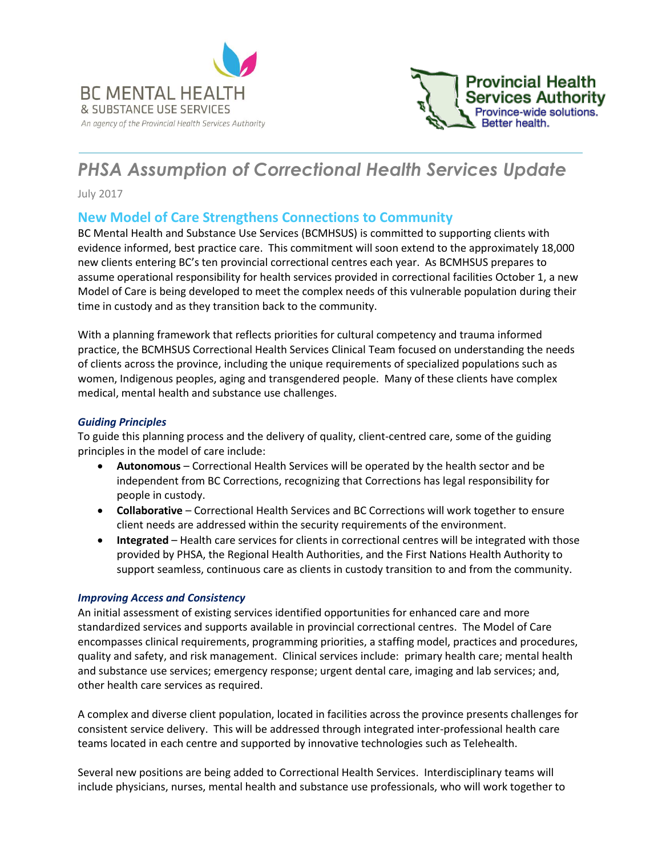



# *PHSA Assumption of Correctional Health Services Update*

July 2017

## **New Model of Care Strengthens Connections to Community**

BC Mental Health and Substance Use Services (BCMHSUS) is committed to supporting clients with evidence informed, best practice care. This commitment will soon extend to the approximately 18,000 new clients entering BC's ten provincial correctional centres each year. As BCMHSUS prepares to assume operational responsibility for health services provided in correctional facilities October 1, a new Model of Care is being developed to meet the complex needs of this vulnerable population during their time in custody and as they transition back to the community.

With a planning framework that reflects priorities for cultural competency and trauma informed practice, the BCMHSUS Correctional Health Services Clinical Team focused on understanding the needs of clients across the province, including the unique requirements of specialized populations such as women, Indigenous peoples, aging and transgendered people. Many of these clients have complex medical, mental health and substance use challenges.

#### *Guiding Principles*

To guide this planning process and the delivery of quality, client-centred care, some of the guiding principles in the model of care include:

- **Autonomous** Correctional Health Services will be operated by the health sector and be independent from BC Corrections, recognizing that Corrections has legal responsibility for people in custody.
- **Collaborative** Correctional Health Services and BC Corrections will work together to ensure client needs are addressed within the security requirements of the environment.
- **Integrated** Health care services for clients in correctional centres will be integrated with those provided by PHSA, the Regional Health Authorities, and the First Nations Health Authority to support seamless, continuous care as clients in custody transition to and from the community.

#### *Improving Access and Consistency*

An initial assessment of existing services identified opportunities for enhanced care and more standardized services and supports available in provincial correctional centres. The Model of Care encompasses clinical requirements, programming priorities, a staffing model, practices and procedures, quality and safety, and risk management. Clinical services include: primary health care; mental health and substance use services; emergency response; urgent dental care, imaging and lab services; and, other health care services as required.

A complex and diverse client population, located in facilities across the province presents challenges for consistent service delivery. This will be addressed through integrated inter-professional health care teams located in each centre and supported by innovative technologies such as Telehealth.

Several new positions are being added to Correctional Health Services. Interdisciplinary teams will include physicians, nurses, mental health and substance use professionals, who will work together to